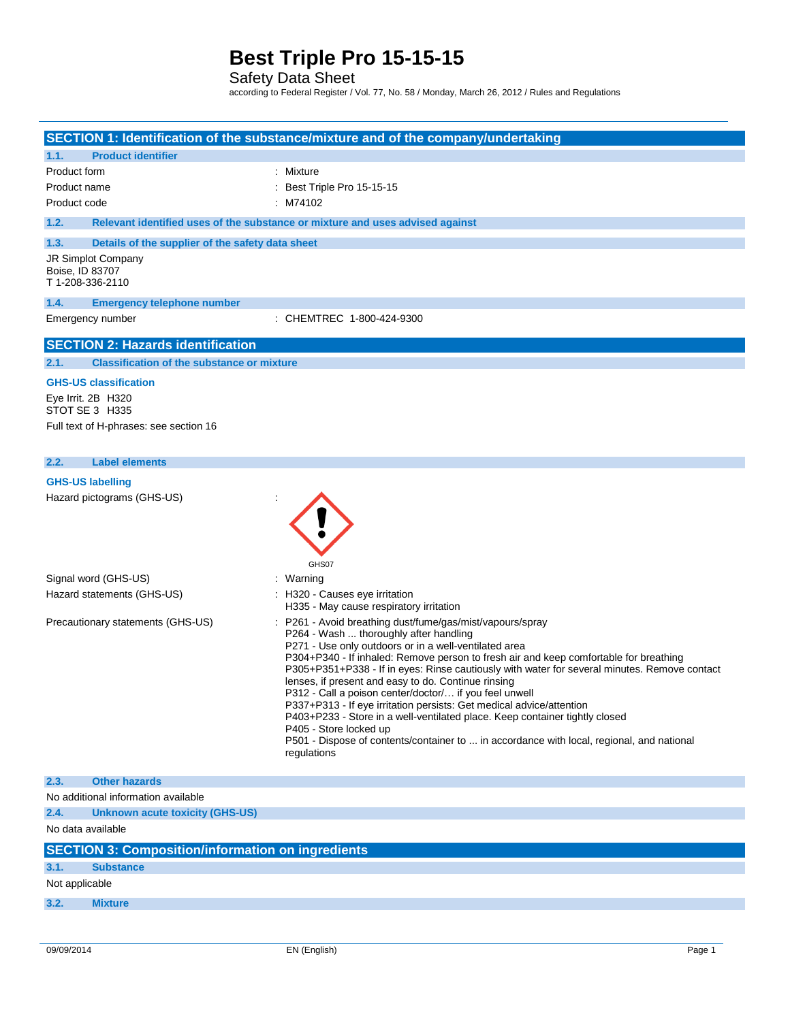Safety Data Sheet

according to Federal Register / Vol. 77, No. 58 / Monday, March 26, 2012 / Rules and Regulations

|                                                                      |                                                          | SECTION 1: Identification of the substance/mixture and of the company/undertaking                                                                                                                                                                                                                                                                                                                                                                                                                                                                                                                                                                                                                                                                                   |
|----------------------------------------------------------------------|----------------------------------------------------------|---------------------------------------------------------------------------------------------------------------------------------------------------------------------------------------------------------------------------------------------------------------------------------------------------------------------------------------------------------------------------------------------------------------------------------------------------------------------------------------------------------------------------------------------------------------------------------------------------------------------------------------------------------------------------------------------------------------------------------------------------------------------|
| 1.1.                                                                 | <b>Product identifier</b>                                |                                                                                                                                                                                                                                                                                                                                                                                                                                                                                                                                                                                                                                                                                                                                                                     |
| Product form                                                         |                                                          | : Mixture                                                                                                                                                                                                                                                                                                                                                                                                                                                                                                                                                                                                                                                                                                                                                           |
| Product name                                                         |                                                          | : Best Triple Pro 15-15-15                                                                                                                                                                                                                                                                                                                                                                                                                                                                                                                                                                                                                                                                                                                                          |
| Product code                                                         |                                                          | : M74102                                                                                                                                                                                                                                                                                                                                                                                                                                                                                                                                                                                                                                                                                                                                                            |
| 1.2.                                                                 |                                                          | Relevant identified uses of the substance or mixture and uses advised against                                                                                                                                                                                                                                                                                                                                                                                                                                                                                                                                                                                                                                                                                       |
| 1.3.                                                                 | Details of the supplier of the safety data sheet         |                                                                                                                                                                                                                                                                                                                                                                                                                                                                                                                                                                                                                                                                                                                                                                     |
| JR Simplot Company<br>Boise, ID 83707<br>T 1-208-336-2110            |                                                          |                                                                                                                                                                                                                                                                                                                                                                                                                                                                                                                                                                                                                                                                                                                                                                     |
| 1.4.                                                                 | <b>Emergency telephone number</b>                        |                                                                                                                                                                                                                                                                                                                                                                                                                                                                                                                                                                                                                                                                                                                                                                     |
| Emergency number                                                     |                                                          | : CHEMTREC 1-800-424-9300                                                                                                                                                                                                                                                                                                                                                                                                                                                                                                                                                                                                                                                                                                                                           |
|                                                                      | <b>SECTION 2: Hazards identification</b>                 |                                                                                                                                                                                                                                                                                                                                                                                                                                                                                                                                                                                                                                                                                                                                                                     |
| 2.1.                                                                 | <b>Classification of the substance or mixture</b>        |                                                                                                                                                                                                                                                                                                                                                                                                                                                                                                                                                                                                                                                                                                                                                                     |
|                                                                      |                                                          |                                                                                                                                                                                                                                                                                                                                                                                                                                                                                                                                                                                                                                                                                                                                                                     |
| <b>GHS-US classification</b><br>Eye Irrit. 2B H320<br>STOT SE 3 H335 |                                                          |                                                                                                                                                                                                                                                                                                                                                                                                                                                                                                                                                                                                                                                                                                                                                                     |
|                                                                      | Full text of H-phrases: see section 16                   |                                                                                                                                                                                                                                                                                                                                                                                                                                                                                                                                                                                                                                                                                                                                                                     |
|                                                                      |                                                          |                                                                                                                                                                                                                                                                                                                                                                                                                                                                                                                                                                                                                                                                                                                                                                     |
| <b>Label elements</b><br>2.2.                                        |                                                          |                                                                                                                                                                                                                                                                                                                                                                                                                                                                                                                                                                                                                                                                                                                                                                     |
| <b>GHS-US labelling</b>                                              |                                                          |                                                                                                                                                                                                                                                                                                                                                                                                                                                                                                                                                                                                                                                                                                                                                                     |
| Hazard pictograms (GHS-US)                                           |                                                          | GHS07                                                                                                                                                                                                                                                                                                                                                                                                                                                                                                                                                                                                                                                                                                                                                               |
| Signal word (GHS-US)                                                 |                                                          | : Warning                                                                                                                                                                                                                                                                                                                                                                                                                                                                                                                                                                                                                                                                                                                                                           |
| Hazard statements (GHS-US)                                           |                                                          | : H320 - Causes eye irritation<br>H335 - May cause respiratory irritation                                                                                                                                                                                                                                                                                                                                                                                                                                                                                                                                                                                                                                                                                           |
| Precautionary statements (GHS-US)                                    |                                                          | : P261 - Avoid breathing dust/fume/gas/mist/vapours/spray<br>P264 - Wash  thoroughly after handling<br>P271 - Use only outdoors or in a well-ventilated area<br>P304+P340 - If inhaled: Remove person to fresh air and keep comfortable for breathing<br>P305+P351+P338 - If in eyes: Rinse cautiously with water for several minutes. Remove contact<br>lenses, if present and easy to do. Continue rinsing<br>P312 - Call a poison center/doctor/ if you feel unwell<br>P337+P313 - If eye irritation persists: Get medical advice/attention<br>P403+P233 - Store in a well-ventilated place. Keep container tightly closed<br>P405 - Store locked up<br>P501 - Dispose of contents/container to  in accordance with local, regional, and national<br>regulations |
| 2.3.<br><b>Other hazards</b>                                         |                                                          |                                                                                                                                                                                                                                                                                                                                                                                                                                                                                                                                                                                                                                                                                                                                                                     |
| No additional information available                                  |                                                          |                                                                                                                                                                                                                                                                                                                                                                                                                                                                                                                                                                                                                                                                                                                                                                     |
| 2.4.                                                                 | <b>Unknown acute toxicity (GHS-US)</b>                   |                                                                                                                                                                                                                                                                                                                                                                                                                                                                                                                                                                                                                                                                                                                                                                     |
| No data available                                                    |                                                          |                                                                                                                                                                                                                                                                                                                                                                                                                                                                                                                                                                                                                                                                                                                                                                     |
|                                                                      | <b>SECTION 3: Composition/information on ingredients</b> |                                                                                                                                                                                                                                                                                                                                                                                                                                                                                                                                                                                                                                                                                                                                                                     |
| 3.1.<br><b>Substance</b>                                             |                                                          |                                                                                                                                                                                                                                                                                                                                                                                                                                                                                                                                                                                                                                                                                                                                                                     |
| Not applicable                                                       |                                                          |                                                                                                                                                                                                                                                                                                                                                                                                                                                                                                                                                                                                                                                                                                                                                                     |
| 3.2.<br><b>Mixture</b>                                               |                                                          |                                                                                                                                                                                                                                                                                                                                                                                                                                                                                                                                                                                                                                                                                                                                                                     |
|                                                                      |                                                          |                                                                                                                                                                                                                                                                                                                                                                                                                                                                                                                                                                                                                                                                                                                                                                     |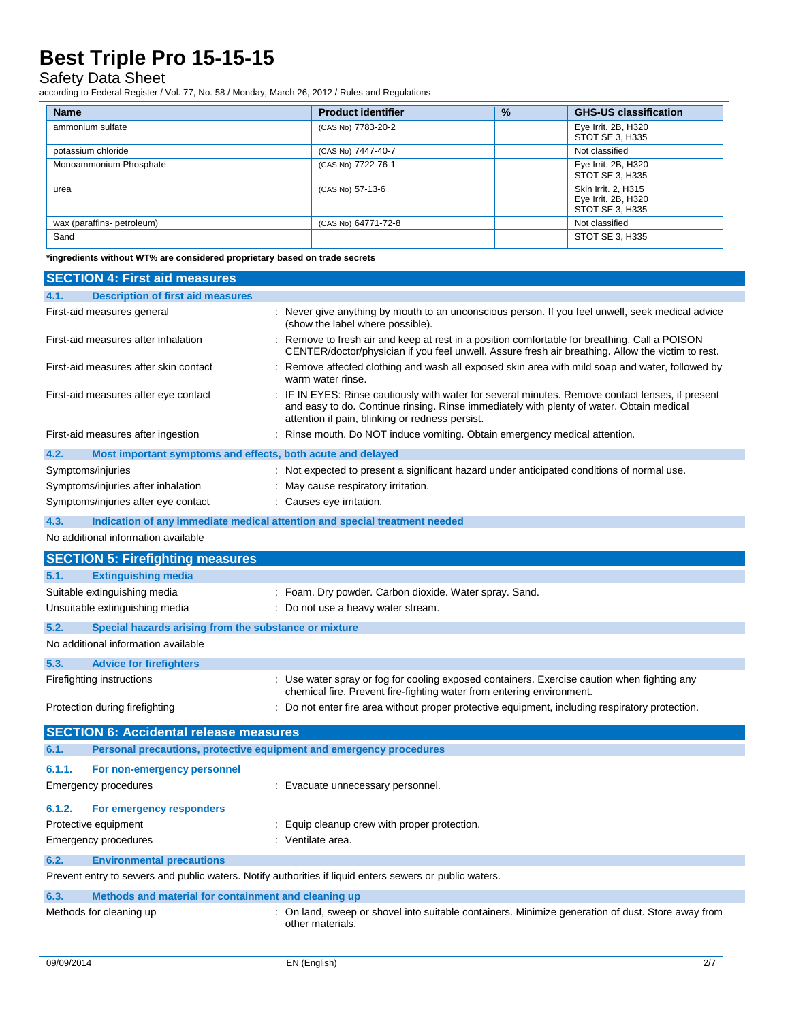#### Safety Data Sheet

according to Federal Register / Vol. 77, No. 58 / Monday, March 26, 2012 / Rules and Regulations

| <b>Name</b>                | <b>Product identifier</b> | $\frac{9}{6}$ | <b>GHS-US classification</b>                                  |
|----------------------------|---------------------------|---------------|---------------------------------------------------------------|
| ammonium sulfate           | (CAS No) 7783-20-2        |               | Eye Irrit. 2B, H320<br>STOT SE 3, H335                        |
| potassium chloride         | (CAS No) 7447-40-7        |               | Not classified                                                |
| Monoammonium Phosphate     | (CAS No) 7722-76-1        |               | Eye Irrit. 2B, H320<br>STOT SE 3, H335                        |
| urea                       | (CAS No) 57-13-6          |               | Skin Irrit. 2, H315<br>Eye Irrit. 2B, H320<br>STOT SE 3, H335 |
| wax (paraffins- petroleum) | (CAS No) 64771-72-8       |               | Not classified                                                |
| Sand                       |                           |               | STOT SE 3, H335                                               |

**\*ingredients without WT% are considered proprietary based on trade secrets**

| <b>SECTION 4: First aid measures</b>                                                                    |                                                                                                                                                                                                                                                 |  |  |
|---------------------------------------------------------------------------------------------------------|-------------------------------------------------------------------------------------------------------------------------------------------------------------------------------------------------------------------------------------------------|--|--|
| 4.1.<br><b>Description of first aid measures</b>                                                        |                                                                                                                                                                                                                                                 |  |  |
| First-aid measures general                                                                              | : Never give anything by mouth to an unconscious person. If you feel unwell, seek medical advice<br>(show the label where possible).                                                                                                            |  |  |
| First-aid measures after inhalation                                                                     | : Remove to fresh air and keep at rest in a position comfortable for breathing. Call a POISON<br>CENTER/doctor/physician if you feel unwell. Assure fresh air breathing. Allow the victim to rest.                                              |  |  |
| First-aid measures after skin contact                                                                   | Remove affected clothing and wash all exposed skin area with mild soap and water, followed by<br>warm water rinse.                                                                                                                              |  |  |
| First-aid measures after eye contact                                                                    | : IF IN EYES: Rinse cautiously with water for several minutes. Remove contact lenses, if present<br>and easy to do. Continue rinsing. Rinse immediately with plenty of water. Obtain medical<br>attention if pain, blinking or redness persist. |  |  |
| First-aid measures after ingestion                                                                      | : Rinse mouth. Do NOT induce vomiting. Obtain emergency medical attention.                                                                                                                                                                      |  |  |
| 4.2.<br>Most important symptoms and effects, both acute and delayed                                     |                                                                                                                                                                                                                                                 |  |  |
| Symptoms/injuries                                                                                       | : Not expected to present a significant hazard under anticipated conditions of normal use.                                                                                                                                                      |  |  |
| Symptoms/injuries after inhalation                                                                      | : May cause respiratory irritation.                                                                                                                                                                                                             |  |  |
| Symptoms/injuries after eye contact                                                                     | : Causes eye irritation.                                                                                                                                                                                                                        |  |  |
| 4.3.<br>Indication of any immediate medical attention and special treatment needed                      |                                                                                                                                                                                                                                                 |  |  |
| No additional information available                                                                     |                                                                                                                                                                                                                                                 |  |  |
| <b>SECTION 5: Firefighting measures</b>                                                                 |                                                                                                                                                                                                                                                 |  |  |
| 5.1.<br><b>Extinguishing media</b>                                                                      |                                                                                                                                                                                                                                                 |  |  |
| Suitable extinguishing media                                                                            | : Foam. Dry powder. Carbon dioxide. Water spray. Sand.                                                                                                                                                                                          |  |  |
| Unsuitable extinguishing media                                                                          | : Do not use a heavy water stream.                                                                                                                                                                                                              |  |  |
| 5.2.<br>Special hazards arising from the substance or mixture                                           |                                                                                                                                                                                                                                                 |  |  |
| No additional information available                                                                     |                                                                                                                                                                                                                                                 |  |  |
| 5.3.<br><b>Advice for firefighters</b>                                                                  |                                                                                                                                                                                                                                                 |  |  |
| Firefighting instructions                                                                               | : Use water spray or fog for cooling exposed containers. Exercise caution when fighting any<br>chemical fire. Prevent fire-fighting water from entering environment.                                                                            |  |  |
| Protection during firefighting                                                                          | : Do not enter fire area without proper protective equipment, including respiratory protection.                                                                                                                                                 |  |  |
| <b>SECTION 6: Accidental release measures</b>                                                           |                                                                                                                                                                                                                                                 |  |  |
| Personal precautions, protective equipment and emergency procedures<br>6.1.                             |                                                                                                                                                                                                                                                 |  |  |
| 6.1.1.<br>For non-emergency personnel                                                                   |                                                                                                                                                                                                                                                 |  |  |
| <b>Emergency procedures</b>                                                                             | : Evacuate unnecessary personnel.                                                                                                                                                                                                               |  |  |
| 6.1.2.<br>For emergency responders                                                                      |                                                                                                                                                                                                                                                 |  |  |
| Protective equipment                                                                                    | : Equip cleanup crew with proper protection.                                                                                                                                                                                                    |  |  |
| <b>Emergency procedures</b>                                                                             | : Ventilate area.                                                                                                                                                                                                                               |  |  |
| 6.2.<br><b>Environmental precautions</b>                                                                |                                                                                                                                                                                                                                                 |  |  |
| Prevent entry to sewers and public waters. Notify authorities if liquid enters sewers or public waters. |                                                                                                                                                                                                                                                 |  |  |
| 6.3.<br>Methods and material for containment and cleaning up                                            |                                                                                                                                                                                                                                                 |  |  |
| Methods for cleaning up                                                                                 | : On land, sweep or shovel into suitable containers. Minimize generation of dust. Store away from<br>other materials.                                                                                                                           |  |  |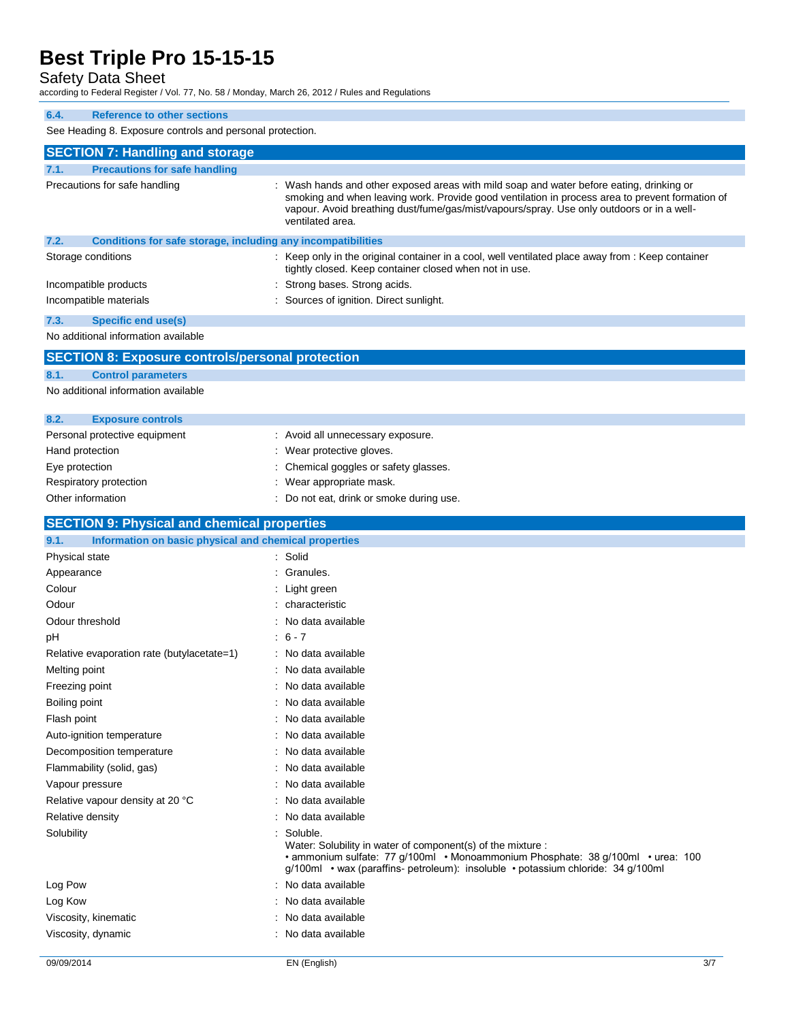### Safety Data Sheet

according to Federal Register / Vol. 77, No. 58 / Monday, March 26, 2012 / Rules and Regulations

| 6.4.<br><b>Reference to other sections</b>                           |                                                                                                                                                                                                                                                                                                            |  |  |  |  |
|----------------------------------------------------------------------|------------------------------------------------------------------------------------------------------------------------------------------------------------------------------------------------------------------------------------------------------------------------------------------------------------|--|--|--|--|
| See Heading 8. Exposure controls and personal protection.            |                                                                                                                                                                                                                                                                                                            |  |  |  |  |
| <b>SECTION 7: Handling and storage</b>                               |                                                                                                                                                                                                                                                                                                            |  |  |  |  |
| <b>Precautions for safe handling</b><br>7.1.                         |                                                                                                                                                                                                                                                                                                            |  |  |  |  |
| Precautions for safe handling                                        | Wash hands and other exposed areas with mild soap and water before eating, drinking or<br>smoking and when leaving work. Provide good ventilation in process area to prevent formation of<br>vapour. Avoid breathing dust/fume/gas/mist/vapours/spray. Use only outdoors or in a well-<br>ventilated area. |  |  |  |  |
| 7.2.<br>Conditions for safe storage, including any incompatibilities |                                                                                                                                                                                                                                                                                                            |  |  |  |  |
| Storage conditions                                                   | : Keep only in the original container in a cool, well ventilated place away from : Keep container<br>tightly closed. Keep container closed when not in use.                                                                                                                                                |  |  |  |  |
| Incompatible products                                                | Strong bases. Strong acids.                                                                                                                                                                                                                                                                                |  |  |  |  |
| Incompatible materials                                               | Sources of ignition. Direct sunlight.                                                                                                                                                                                                                                                                      |  |  |  |  |
| 7.3.<br><b>Specific end use(s)</b>                                   |                                                                                                                                                                                                                                                                                                            |  |  |  |  |
| No additional information available                                  |                                                                                                                                                                                                                                                                                                            |  |  |  |  |
| <b>SECTION 8: Exposure controls/personal protection</b>              |                                                                                                                                                                                                                                                                                                            |  |  |  |  |
| 8.1.<br><b>Control parameters</b>                                    |                                                                                                                                                                                                                                                                                                            |  |  |  |  |
| No additional information available                                  |                                                                                                                                                                                                                                                                                                            |  |  |  |  |
| 8.2.<br><b>Exposure controls</b>                                     |                                                                                                                                                                                                                                                                                                            |  |  |  |  |
| Personal protective equipment                                        | : Avoid all unnecessary exposure.                                                                                                                                                                                                                                                                          |  |  |  |  |
| Hand protection                                                      | Wear protective gloves.                                                                                                                                                                                                                                                                                    |  |  |  |  |
| Eye protection                                                       | Chemical goggles or safety glasses.                                                                                                                                                                                                                                                                        |  |  |  |  |
| Respiratory protection                                               | Wear appropriate mask.                                                                                                                                                                                                                                                                                     |  |  |  |  |
| Other information                                                    | : Do not eat, drink or smoke during use.                                                                                                                                                                                                                                                                   |  |  |  |  |
| <b>SECTION 9: Physical and chemical properties</b>                   |                                                                                                                                                                                                                                                                                                            |  |  |  |  |
| 9.1.<br>Information on basic physical and chemical properties        |                                                                                                                                                                                                                                                                                                            |  |  |  |  |
| Physical state                                                       | : Solid                                                                                                                                                                                                                                                                                                    |  |  |  |  |
| Appearance                                                           | : Granules.                                                                                                                                                                                                                                                                                                |  |  |  |  |
| Colour                                                               | Light green                                                                                                                                                                                                                                                                                                |  |  |  |  |
| Odour                                                                | characteristic                                                                                                                                                                                                                                                                                             |  |  |  |  |
| Odour threshold                                                      | No data available                                                                                                                                                                                                                                                                                          |  |  |  |  |
| рH                                                                   | $: 6 - 7$                                                                                                                                                                                                                                                                                                  |  |  |  |  |
| Relative evaporation rate (butylacetate=1)                           | : No data available                                                                                                                                                                                                                                                                                        |  |  |  |  |
| Melting point                                                        | : No data available                                                                                                                                                                                                                                                                                        |  |  |  |  |
| Freezing point                                                       | No data available                                                                                                                                                                                                                                                                                          |  |  |  |  |
| Boiling point                                                        | No data available                                                                                                                                                                                                                                                                                          |  |  |  |  |
| Flash point                                                          | : No data available                                                                                                                                                                                                                                                                                        |  |  |  |  |

Water: Solubility in water of component(s) of the mixture :

• ammonium sulfate: 77 g/100ml • Monoammonium Phosphate: 38 g/100ml • urea: 100 g/100ml • wax (paraffins- petroleum): insoluble • potassium chloride: 34 g/100ml

Log Pow  $\qquad \qquad$ : No data available Log Kow **: No data available** Viscosity, kinematic **intervalse in the Contract of Contract Available** : No data available Viscosity, dynamic **intervalse and the Contract Contract Contract Contract Contract Contract Contract Contract Contract Contract Contract Contract Contract Contract Contract Contract Contract Contract Contract Contract Con** 

Solubility : Soluble.

Auto-ignition temperature **interest and the Contract Contract Auto-ignition** contract available Decomposition temperature : No data available Flammability (solid, gas) **in the set of the set of the set of the set of the set of the set of the set of the set of the set of the set of the set of the set of the set of the set of the set of the set of the set of the s** Vapour pressure in the set of the set of the set of the Vapour pressure in the set of the set of the Vapour set of the Vapour set of the Vapour set of the Vapour set of the Vapour set of the Vapour set of the Vapour set of Relative vapour density at 20 °C : No data available Relative density **Example 20** and  $\overline{a}$  No data available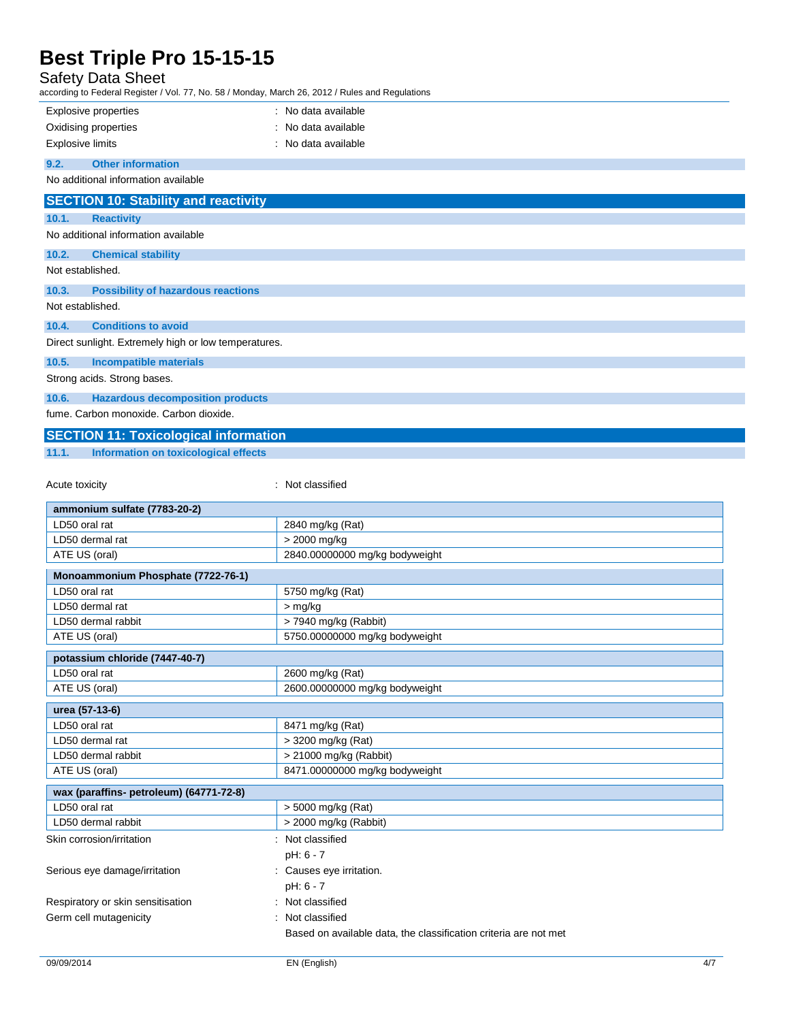### Safety Data Sheet

according to Federal Register / Vol. 77, No. 58 / Monday, March 26, 2012 / Rules and Regulations

| <b>Explosive properties</b>                                       | : No data available            |
|-------------------------------------------------------------------|--------------------------------|
| Oxidising properties                                              | No data available              |
| <b>Explosive limits</b>                                           | : No data available            |
| <b>Other information</b><br>9.2.                                  |                                |
| No additional information available                               |                                |
| <b>SECTION 10: Stability and reactivity</b>                       |                                |
|                                                                   |                                |
| <b>Reactivity</b><br>10.1.<br>No additional information available |                                |
|                                                                   |                                |
| 10.2.<br><b>Chemical stability</b>                                |                                |
| Not established.                                                  |                                |
| 10.3.<br><b>Possibility of hazardous reactions</b>                |                                |
| Not established.                                                  |                                |
| <b>Conditions to avoid</b><br>10.4.                               |                                |
| Direct sunlight. Extremely high or low temperatures.              |                                |
| 10.5.<br><b>Incompatible materials</b>                            |                                |
| Strong acids. Strong bases.                                       |                                |
| 10.6.<br><b>Hazardous decomposition products</b>                  |                                |
| fume. Carbon monoxide. Carbon dioxide.                            |                                |
|                                                                   |                                |
| <b>SECTION 11: Toxicological information</b>                      |                                |
| 11.1.<br><b>Information on toxicological effects</b>              |                                |
|                                                                   | : Not classified               |
| Acute toxicity                                                    |                                |
| ammonium sulfate (7783-20-2)                                      |                                |
| LD50 oral rat                                                     | 2840 mg/kg (Rat)               |
| LD50 dermal rat                                                   | > 2000 mg/kg                   |
| ATE US (oral)                                                     | 2840.00000000 mg/kg bodyweight |
| Monoammonium Phosphate (7722-76-1)                                |                                |
| LD50 oral rat                                                     | 5750 mg/kg (Rat)               |
| LD50 dermal rat                                                   | > mg/kg                        |
| LD50 dermal rabbit                                                | > 7940 mg/kg (Rabbit)          |
| ATE US (oral)                                                     | 5750.00000000 mg/kg bodyweight |
| potassium chloride (7447-40-7)                                    |                                |
| LD50 oral rat                                                     | 2600 mg/kg (Rat)               |
| ATE US (oral)                                                     | 2600.00000000 mg/kg bodyweight |
| urea (57-13-6)                                                    |                                |
| LD50 oral rat                                                     | 8471 mg/kg (Rat)               |
| LD50 dermal rat                                                   | > 3200 mg/kg (Rat)             |
| LD50 dermal rabbit                                                | > 21000 mg/kg (Rabbit)         |
| ATE US (oral)                                                     | 8471.00000000 mg/kg bodyweight |
| wax (paraffins- petroleum) (64771-72-8)                           |                                |
| LD50 oral rat                                                     | > 5000 mg/kg (Rat)             |
| LD50 dermal rabbit                                                | > 2000 mg/kg (Rabbit)          |
| Skin corrosion/irritation                                         | : Not classified               |
|                                                                   | pH: 6 - 7                      |
| Serious eye damage/irritation                                     | : Causes eye irritation.       |
|                                                                   | pH: 6 - 7                      |
| Respiratory or skin sensitisation                                 | : Not classified               |
| Germ cell mutagenicity                                            | Not classified                 |

Based on available data, the classification criteria are not met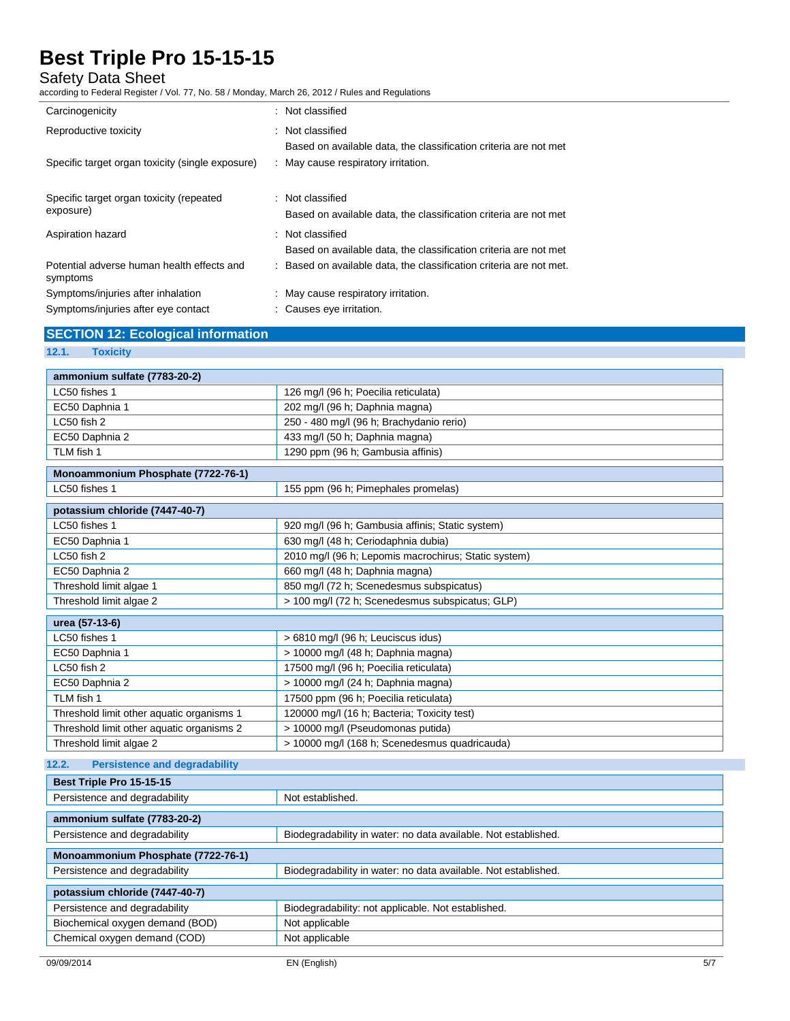#### Safety Data Sheet

according to Federal Register / Vol. 77, No. 58 / Monday, March 26, 2012 / Rules and Regulations

| Carcinogenicity                                        | : Not classified                                                    |
|--------------------------------------------------------|---------------------------------------------------------------------|
| Reproductive toxicity                                  | : Not classified                                                    |
|                                                        | Based on available data, the classification criteria are not met    |
| Specific target organ toxicity (single exposure)       | : May cause respiratory irritation.                                 |
|                                                        |                                                                     |
| Specific target organ toxicity (repeated               | : Not classified                                                    |
| exposure)                                              | Based on available data, the classification criteria are not met    |
| Aspiration hazard                                      | : Not classified                                                    |
|                                                        | Based on available data, the classification criteria are not met    |
| Potential adverse human health effects and<br>symptoms | : Based on available data, the classification criteria are not met. |
| Symptoms/injuries after inhalation                     | : May cause respiratory irritation.                                 |
| Symptoms/injuries after eye contact                    | : Causes eye irritation.                                            |

#### **SECTION 12: Ecological information**

**12.1. Toxicity**

| ammonium sulfate (7783-20-2)                  |                                                                |  |  |  |
|-----------------------------------------------|----------------------------------------------------------------|--|--|--|
| LC50 fishes 1                                 | 126 mg/l (96 h; Poecilia reticulata)                           |  |  |  |
| EC50 Daphnia 1                                | 202 mg/l (96 h; Daphnia magna)                                 |  |  |  |
| LC50 fish 2                                   | 250 - 480 mg/l (96 h; Brachydanio rerio)                       |  |  |  |
| EC50 Daphnia 2                                | 433 mg/l (50 h; Daphnia magna)                                 |  |  |  |
| TLM fish 1                                    | 1290 ppm (96 h; Gambusia affinis)                              |  |  |  |
| Monoammonium Phosphate (7722-76-1)            |                                                                |  |  |  |
| LC50 fishes 1                                 | 155 ppm (96 h; Pimephales promelas)                            |  |  |  |
| potassium chloride (7447-40-7)                |                                                                |  |  |  |
| LC50 fishes 1                                 | 920 mg/l (96 h; Gambusia affinis; Static system)               |  |  |  |
| EC50 Daphnia 1                                | 630 mg/l (48 h; Ceriodaphnia dubia)                            |  |  |  |
| LC50 fish 2                                   | 2010 mg/l (96 h; Lepomis macrochirus; Static system)           |  |  |  |
| EC50 Daphnia 2                                | 660 mg/l (48 h; Daphnia magna)                                 |  |  |  |
| Threshold limit algae 1                       | 850 mg/l (72 h; Scenedesmus subspicatus)                       |  |  |  |
| Threshold limit algae 2                       | > 100 mg/l (72 h; Scenedesmus subspicatus; GLP)                |  |  |  |
| urea (57-13-6)                                |                                                                |  |  |  |
| LC50 fishes 1                                 | > 6810 mg/l (96 h; Leuciscus idus)                             |  |  |  |
| EC50 Daphnia 1                                | > 10000 mg/l (48 h; Daphnia magna)                             |  |  |  |
| LC50 fish 2                                   | 17500 mg/l (96 h; Poecilia reticulata)                         |  |  |  |
| EC50 Daphnia 2                                | > 10000 mg/l (24 h; Daphnia magna)                             |  |  |  |
| TLM fish 1                                    | 17500 ppm (96 h; Poecilia reticulata)                          |  |  |  |
| Threshold limit other aquatic organisms 1     | 120000 mg/l (16 h; Bacteria; Toxicity test)                    |  |  |  |
| Threshold limit other aquatic organisms 2     | > 10000 mg/l (Pseudomonas putida)                              |  |  |  |
| Threshold limit algae 2                       | > 10000 mg/l (168 h; Scenedesmus quadricauda)                  |  |  |  |
| <b>Persistence and degradability</b><br>12.2. |                                                                |  |  |  |
| Best Triple Pro 15-15-15                      |                                                                |  |  |  |
| Persistence and degradability                 | Not established.                                               |  |  |  |
| ammonium sulfate (7783-20-2)                  |                                                                |  |  |  |
| Persistence and degradability                 | Biodegradability in water: no data available. Not established. |  |  |  |
| Monoammonium Phosphate (7722-76-1)            |                                                                |  |  |  |
| Persistence and degradability                 | Biodegradability in water: no data available. Not established. |  |  |  |
| potassium chloride (7447-40-7)                |                                                                |  |  |  |
| Persistence and degradability                 | Biodegradability: not applicable. Not established.             |  |  |  |
| Biochemical oxygen demand (BOD)               | Not applicable                                                 |  |  |  |
| Chemical oxygen demand (COD)                  | Not applicable                                                 |  |  |  |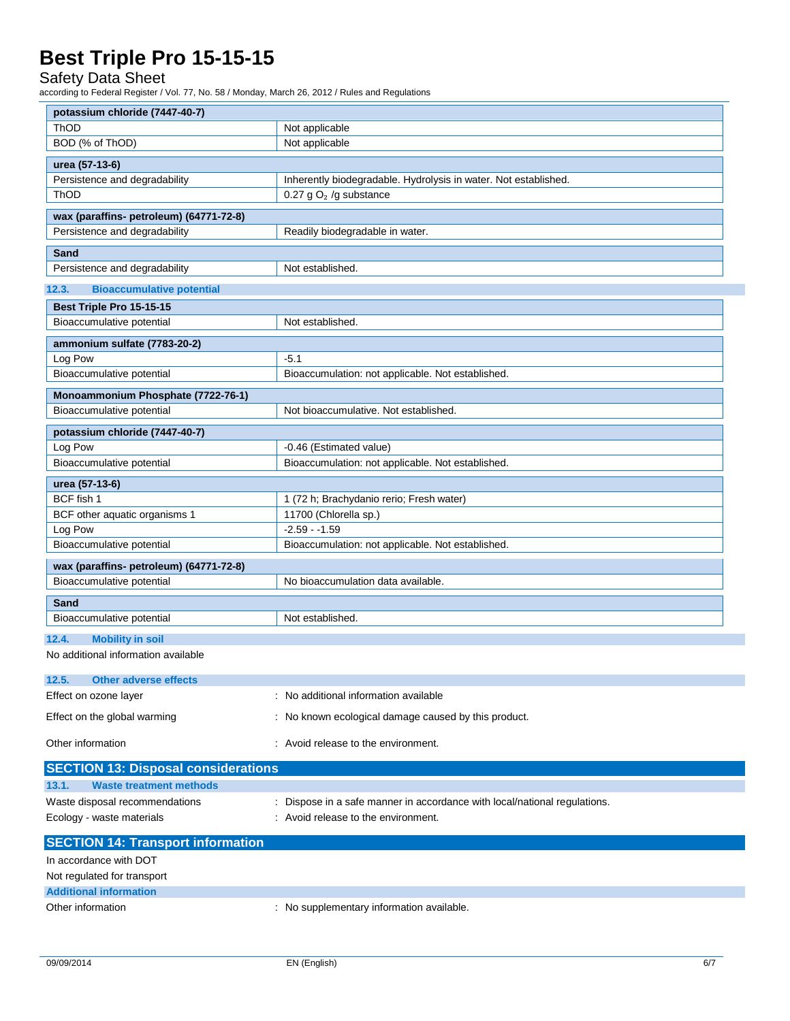#### Safety Data Sheet

according to Federal Register / Vol. 77, No. 58 / Monday, March 26, 2012 / Rules and Regulations

| potassium chloride (7447-40-7)                        |                                                                           |  |  |  |
|-------------------------------------------------------|---------------------------------------------------------------------------|--|--|--|
| <b>ThOD</b>                                           | Not applicable                                                            |  |  |  |
| BOD (% of ThOD)                                       | Not applicable                                                            |  |  |  |
| urea (57-13-6)                                        |                                                                           |  |  |  |
| Persistence and degradability                         | Inherently biodegradable. Hydrolysis in water. Not established.           |  |  |  |
| ThOD                                                  | 0.27 g $O2$ /g substance                                                  |  |  |  |
| wax (paraffins- petroleum) (64771-72-8)               |                                                                           |  |  |  |
| Persistence and degradability                         | Readily biodegradable in water.                                           |  |  |  |
| Sand                                                  |                                                                           |  |  |  |
| Persistence and degradability                         | Not established.                                                          |  |  |  |
| 12.3.<br><b>Bioaccumulative potential</b>             |                                                                           |  |  |  |
|                                                       |                                                                           |  |  |  |
| Best Triple Pro 15-15-15<br>Bioaccumulative potential | Not established.                                                          |  |  |  |
|                                                       |                                                                           |  |  |  |
| ammonium sulfate (7783-20-2)                          |                                                                           |  |  |  |
| Log Pow                                               | $-5.1$                                                                    |  |  |  |
| Bioaccumulative potential                             | Bioaccumulation: not applicable. Not established.                         |  |  |  |
| Monoammonium Phosphate (7722-76-1)                    |                                                                           |  |  |  |
| Bioaccumulative potential                             | Not bioaccumulative. Not established.                                     |  |  |  |
| potassium chloride (7447-40-7)                        |                                                                           |  |  |  |
| Log Pow                                               | -0.46 (Estimated value)                                                   |  |  |  |
| Bioaccumulative potential                             | Bioaccumulation: not applicable. Not established.                         |  |  |  |
| urea (57-13-6)                                        |                                                                           |  |  |  |
| BCF fish 1                                            | 1 (72 h; Brachydanio rerio; Fresh water)                                  |  |  |  |
| BCF other aquatic organisms 1                         | 11700 (Chlorella sp.)                                                     |  |  |  |
| Log Pow                                               | $-2.59 - 1.59$                                                            |  |  |  |
| Bioaccumulative potential                             | Bioaccumulation: not applicable. Not established.                         |  |  |  |
| wax (paraffins- petroleum) (64771-72-8)               |                                                                           |  |  |  |
| Bioaccumulative potential                             | No bioaccumulation data available.                                        |  |  |  |
| Sand                                                  |                                                                           |  |  |  |
| Bioaccumulative potential                             | Not established.                                                          |  |  |  |
|                                                       |                                                                           |  |  |  |
| <b>Mobility in soil</b><br>12.4.                      |                                                                           |  |  |  |
| No additional information available                   |                                                                           |  |  |  |
| 12.5.<br><b>Other adverse effects</b>                 |                                                                           |  |  |  |
| Effect on ozone layer                                 | : No additional information available                                     |  |  |  |
| Effect on the global warming                          | : No known ecological damage caused by this product.                      |  |  |  |
|                                                       |                                                                           |  |  |  |
| Other information                                     | : Avoid release to the environment.                                       |  |  |  |
| <b>SECTION 13: Disposal considerations</b>            |                                                                           |  |  |  |
| <b>Waste treatment methods</b><br>13.1.               |                                                                           |  |  |  |
| Waste disposal recommendations                        | : Dispose in a safe manner in accordance with local/national regulations. |  |  |  |
| Ecology - waste materials                             | : Avoid release to the environment.                                       |  |  |  |
|                                                       |                                                                           |  |  |  |
| <b>SECTION 14: Transport information</b>              |                                                                           |  |  |  |
| In accordance with DOT                                |                                                                           |  |  |  |
| Not regulated for transport                           |                                                                           |  |  |  |

**Additional information**

Other information **contains the container of the container**  $\blacksquare$  : No supplementary information available.